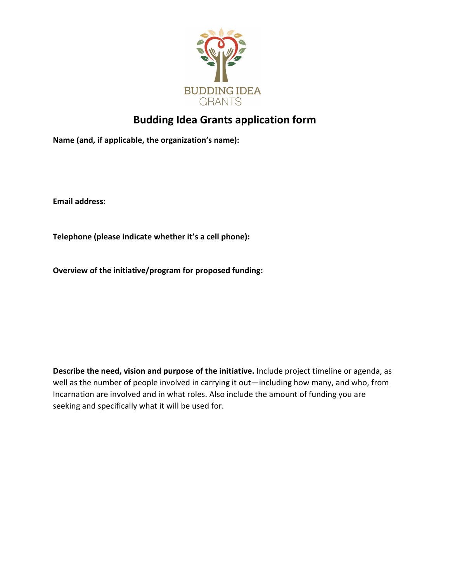

## **Budding Idea Grants application form**

**Name (and, if applicable, the organization's name):** 

**Email address:** 

**Telephone (please indicate whether it's a cell phone):**

**Overview of the initiative/program for proposed funding:** 

**Describe the need, vision and purpose of the initiative.** Include project timeline or agenda, as well as the number of people involved in carrying it out—including how many, and who, from Incarnation are involved and in what roles. Also include the amount of funding you are seeking and specifically what it will be used for.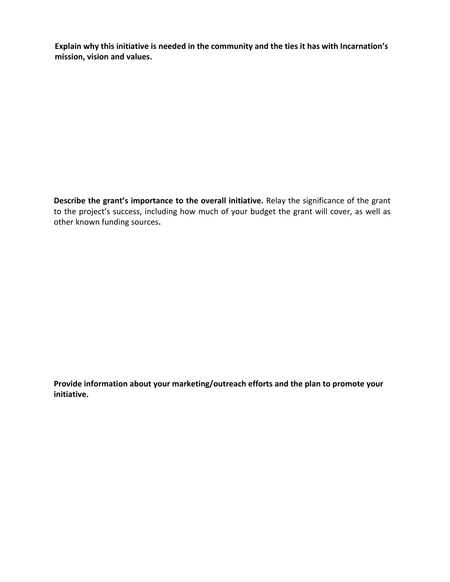**Explain why this initiative is needed in the community and the ties it has with Incarnation's mission, vision and values.**

**Describe the grant's importance to the overall initiative.** Relay the significance of the grant to the project's success, including how much of your budget the grant will cover, as well as other known funding sources**.**

**Provide information about your marketing/outreach efforts and the plan to promote your initiative.**